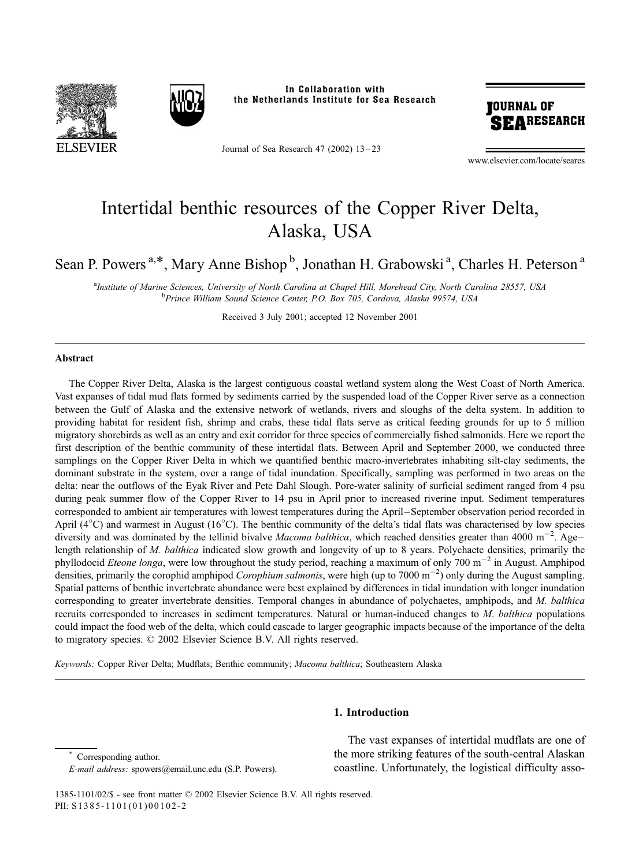



In Collaboration with the Netherlands Institute for Sea Research

Journal of Sea Research 47 (2002) 13 – 23



www.elsevier.com/locate/seares

# Intertidal benthic resources of the Copper River Delta, Alaska, USA

Sean P. Powers<sup>a,\*</sup>, Mary Anne Bishop<sup>b</sup>, Jonathan H. Grabowski<sup>a</sup>, Charles H. Peterson<sup>a</sup>

a Institute of Marine Sciences, University of North Carolina at Chapel Hill, Morehead City, North Carolina 28557, USA b Prince William Sound Science Center, P.O. Box 705, Cordova, Alaska 99574, USA

Received 3 July 2001; accepted 12 November 2001

## Abstract

The Copper River Delta, Alaska is the largest contiguous coastal wetland system along the West Coast of North America. Vast expanses of tidal mud flats formed by sediments carried by the suspended load of the Copper River serve as a connection between the Gulf of Alaska and the extensive network of wetlands, rivers and sloughs of the delta system. In addition to providing habitat for resident fish, shrimp and crabs, these tidal flats serve as critical feeding grounds for up to 5 million migratory shorebirds as well as an entry and exit corridor for three species of commercially fished salmonids. Here we report the first description of the benthic community of these intertidal flats. Between April and September 2000, we conducted three samplings on the Copper River Delta in which we quantified benthic macro-invertebrates inhabiting silt-clay sediments, the dominant substrate in the system, over a range of tidal inundation. Specifically, sampling was performed in two areas on the delta: near the outflows of the Eyak River and Pete Dahl Slough. Pore-water salinity of surficial sediment ranged from 4 psu during peak summer flow of the Copper River to 14 psu in April prior to increased riverine input. Sediment temperatures corresponded to ambient air temperatures with lowest temperatures during the April – September observation period recorded in April ( $4^{\circ}$ C) and warmest in August ( $16^{\circ}$ C). The benthic community of the delta's tidal flats was characterised by low species diversity and was dominated by the tellinid bivalve Macoma balthica, which reached densities greater than 4000 m<sup>-2</sup>. Agelength relationship of M. balthica indicated slow growth and longevity of up to 8 years. Polychaete densities, primarily the phyllodocid *Eteone longa*, were low throughout the study period, reaching a maximum of only 700 m<sup>-2</sup> in August. Amphipod densities, primarily the corophid amphipod *Corophium salmonis*, were high (up to 7000 m<sup>-2</sup>) only during the August sampling. Spatial patterns of benthic invertebrate abundance were best explained by differences in tidal inundation with longer inundation corresponding to greater invertebrate densities. Temporal changes in abundance of polychaetes, amphipods, and M. balthica recruits corresponded to increases in sediment temperatures. Natural or human-induced changes to M. balthica populations could impact the food web of the delta, which could cascade to larger geographic impacts because of the importance of the delta to migratory species.  $\odot$  2002 Elsevier Science B.V. All rights reserved.

Keywords: Copper River Delta; Mudflats; Benthic community; Macoma balthica; Southeastern Alaska

# 1. Introduction

Corresponding author.

E-mail address: spowers@email.unc.edu (S.P. Powers).

The vast expanses of intertidal mudflats are one of the more striking features of the south-central Alaskan coastline. Unfortunately, the logistical difficulty asso-

1385-1101/02/\$ - see front matter © 2002 Elsevier Science B.V. All rights reserved. PII: S1385-1101(01)00102-2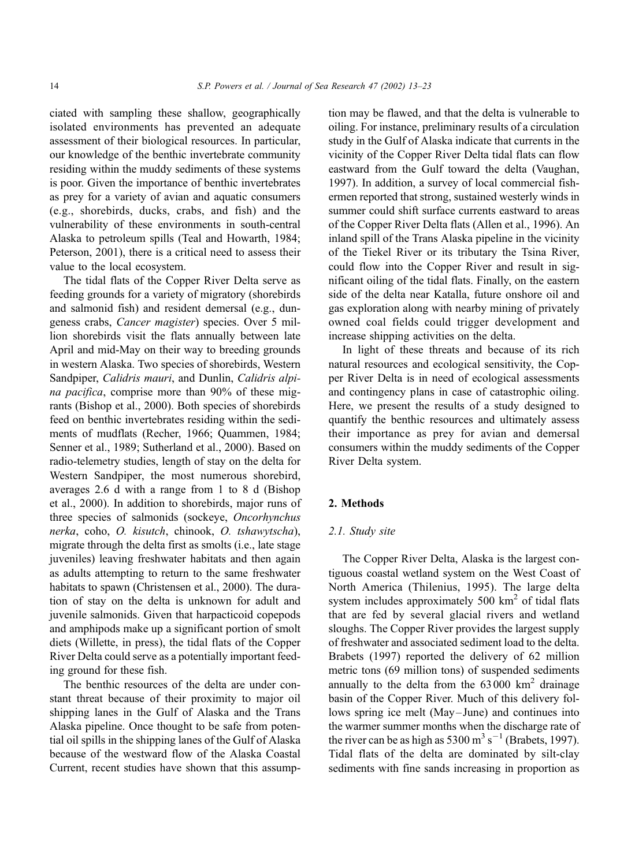ciated with sampling these shallow, geographically isolated environments has prevented an adequate assessment of their biological resources. In particular, our knowledge of the benthic invertebrate community residing within the muddy sediments of these systems is poor. Given the importance of benthic invertebrates as prey for a variety of avian and aquatic consumers (e.g., shorebirds, ducks, crabs, and fish) and the vulnerability of these environments in south-central Alaska to petroleum spills (Teal and Howarth, 1984; Peterson, 2001), there is a critical need to assess their value to the local ecosystem.

The tidal flats of the Copper River Delta serve as feeding grounds for a variety of migratory (shorebirds and salmonid fish) and resident demersal (e.g., dungeness crabs, Cancer magister) species. Over 5 million shorebirds visit the flats annually between late April and mid-May on their way to breeding grounds in western Alaska. Two species of shorebirds, Western Sandpiper, Calidris mauri, and Dunlin, Calidris alpina pacifica, comprise more than 90% of these migrants (Bishop et al., 2000). Both species of shorebirds feed on benthic invertebrates residing within the sediments of mudflats (Recher, 1966; Quammen, 1984; Senner et al., 1989; Sutherland et al., 2000). Based on radio-telemetry studies, length of stay on the delta for Western Sandpiper, the most numerous shorebird, averages 2.6 d with a range from 1 to 8 d (Bishop et al., 2000). In addition to shorebirds, major runs of three species of salmonids (sockeye, Oncorhynchus nerka, coho, O. kisutch, chinook, O. tshawytscha), migrate through the delta first as smolts (i.e., late stage juveniles) leaving freshwater habitats and then again as adults attempting to return to the same freshwater habitats to spawn (Christensen et al., 2000). The duration of stay on the delta is unknown for adult and juvenile salmonids. Given that harpacticoid copepods and amphipods make up a significant portion of smolt diets (Willette, in press), the tidal flats of the Copper River Delta could serve as a potentially important feeding ground for these fish.

The benthic resources of the delta are under constant threat because of their proximity to major oil shipping lanes in the Gulf of Alaska and the Trans Alaska pipeline. Once thought to be safe from potential oil spills in the shipping lanes of the Gulf of Alaska because of the westward flow of the Alaska Coastal Current, recent studies have shown that this assumption may be flawed, and that the delta is vulnerable to oiling. For instance, preliminary results of a circulation study in the Gulf of Alaska indicate that currents in the vicinity of the Copper River Delta tidal flats can flow eastward from the Gulf toward the delta (Vaughan, 1997). In addition, a survey of local commercial fishermen reported that strong, sustained westerly winds in summer could shift surface currents eastward to areas of the Copper River Delta flats (Allen et al., 1996). An inland spill of the Trans Alaska pipeline in the vicinity of the Tiekel River or its tributary the Tsina River, could flow into the Copper River and result in significant oiling of the tidal flats. Finally, on the eastern side of the delta near Katalla, future onshore oil and gas exploration along with nearby mining of privately owned coal fields could trigger development and increase shipping activities on the delta.

In light of these threats and because of its rich natural resources and ecological sensitivity, the Copper River Delta is in need of ecological assessments and contingency plans in case of catastrophic oiling. Here, we present the results of a study designed to quantify the benthic resources and ultimately assess their importance as prey for avian and demersal consumers within the muddy sediments of the Copper River Delta system.

## 2. Methods

## 2.1. Study site

The Copper River Delta, Alaska is the largest contiguous coastal wetland system on the West Coast of North America (Thilenius, 1995). The large delta system includes approximately  $500 \text{ km}^2$  of tidal flats that are fed by several glacial rivers and wetland sloughs. The Copper River provides the largest supply of freshwater and associated sediment load to the delta. Brabets (1997) reported the delivery of 62 million metric tons (69 million tons) of suspended sediments annually to the delta from the  $63\,000\ \text{km}^2$  drainage basin of the Copper River. Much of this delivery follows spring ice melt (May-June) and continues into the warmer summer months when the discharge rate of the river can be as high as  $5300 \text{ m}^3 \text{ s}^{-1}$  (Brabets, 1997). Tidal flats of the delta are dominated by silt-clay sediments with fine sands increasing in proportion as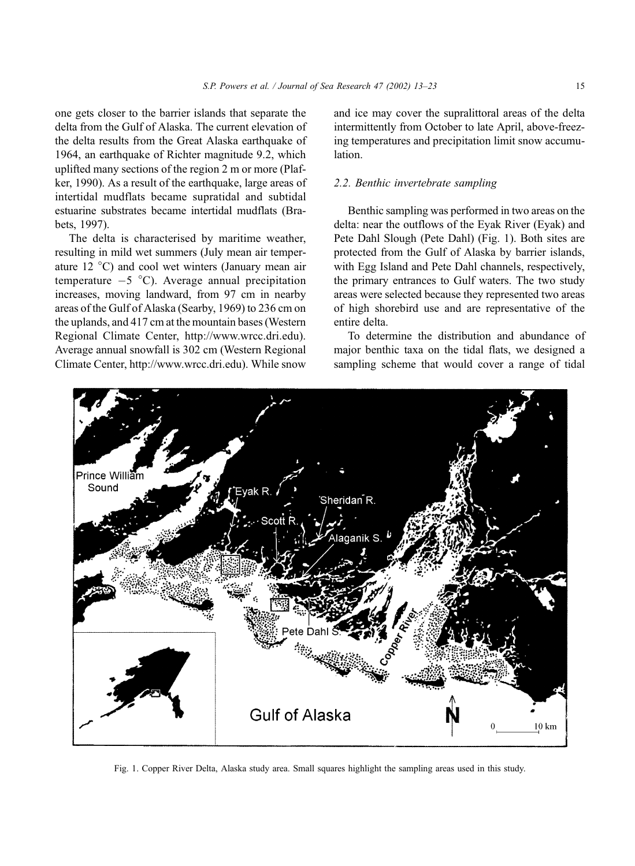one gets closer to the barrier islands that separate the delta from the Gulf of Alaska. The current elevation of the delta results from the Great Alaska earthquake of 1964, an earthquake of Richter magnitude 9.2, which uplifted many sections of the region 2 m or more (Plafker, 1990). As a result of the earthquake, large areas of intertidal mudflats became supratidal and subtidal estuarine substrates became intertidal mudflats (Brabets, 1997).

The delta is characterised by maritime weather, resulting in mild wet summers (July mean air temperature  $12 \text{ }^{\circ}\text{C}$ ) and cool wet winters (January mean air temperature  $-5$  °C). Average annual precipitation increases, moving landward, from 97 cm in nearby areas of the Gulf of Alaska (Searby, 1969) to 236 cm on the uplands, and 417 cm at the mountain bases (Western Regional Climate Center, http://www.wrcc.dri.edu). Average annual snowfall is 302 cm (Western Regional Climate Center, http://www.wrcc.dri.edu). While snow and ice may cover the supralittoral areas of the delta intermittently from October to late April, above-freezing temperatures and precipitation limit snow accumulation.

## 2.2. Benthic invertebrate sampling

Benthic sampling was performed in two areas on the delta: near the outflows of the Eyak River (Eyak) and Pete Dahl Slough (Pete Dahl) (Fig. 1). Both sites are protected from the Gulf of Alaska by barrier islands, with Egg Island and Pete Dahl channels, respectively, the primary entrances to Gulf waters. The two study areas were selected because they represented two areas of high shorebird use and are representative of the entire delta.

To determine the distribution and abundance of major benthic taxa on the tidal flats, we designed a sampling scheme that would cover a range of tidal



Fig. 1. Copper River Delta, Alaska study area. Small squares highlight the sampling areas used in this study.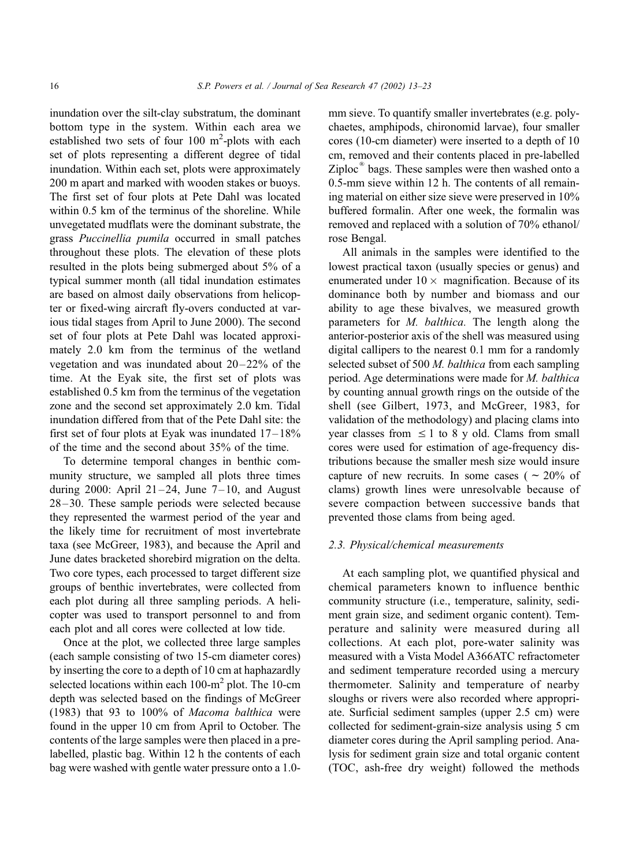inundation over the silt-clay substratum, the dominant bottom type in the system. Within each area we established two sets of four  $100 \text{ m}^2$ -plots with each set of plots representing a different degree of tidal inundation. Within each set, plots were approximately 200 m apart and marked with wooden stakes or buoys. The first set of four plots at Pete Dahl was located within 0.5 km of the terminus of the shoreline. While unvegetated mudflats were the dominant substrate, the grass Puccinellia pumila occurred in small patches throughout these plots. The elevation of these plots resulted in the plots being submerged about 5% of a typical summer month (all tidal inundation estimates are based on almost daily observations from helicopter or fixed-wing aircraft fly-overs conducted at various tidal stages from April to June 2000). The second set of four plots at Pete Dahl was located approximately 2.0 km from the terminus of the wetland vegetation and was inundated about  $20-22\%$  of the time. At the Eyak site, the first set of plots was established 0.5 km from the terminus of the vegetation zone and the second set approximately 2.0 km. Tidal inundation differed from that of the Pete Dahl site: the first set of four plots at Eyak was inundated  $17-18\%$ of the time and the second about 35% of the time.

To determine temporal changes in benthic community structure, we sampled all plots three times during 2000: April 21-24, June  $7-10$ , and August 28 –30. These sample periods were selected because they represented the warmest period of the year and the likely time for recruitment of most invertebrate taxa (see McGreer, 1983), and because the April and June dates bracketed shorebird migration on the delta. Two core types, each processed to target different size groups of benthic invertebrates, were collected from each plot during all three sampling periods. A helicopter was used to transport personnel to and from each plot and all cores were collected at low tide.

Once at the plot, we collected three large samples (each sample consisting of two 15-cm diameter cores) by inserting the core to a depth of 10 cm at haphazardly selected locations within each  $100-m^2$  plot. The 10-cm depth was selected based on the findings of McGreer (1983) that 93 to 100% of Macoma balthica were found in the upper 10 cm from April to October. The contents of the large samples were then placed in a prelabelled, plastic bag. Within 12 h the contents of each bag were washed with gentle water pressure onto a 1.0mm sieve. To quantify smaller invertebrates (e.g. polychaetes, amphipods, chironomid larvae), four smaller cores (10-cm diameter) were inserted to a depth of 10 cm, removed and their contents placed in pre-labelled  $Ziploc^{\circledast}$  bags. These samples were then washed onto a 0.5-mm sieve within 12 h. The contents of all remaining material on either size sieve were preserved in 10% buffered formalin. After one week, the formalin was removed and replaced with a solution of 70% ethanol/ rose Bengal.

All animals in the samples were identified to the lowest practical taxon (usually species or genus) and enumerated under  $10 \times$  magnification. Because of its dominance both by number and biomass and our ability to age these bivalves, we measured growth parameters for M. balthica. The length along the anterior-posterior axis of the shell was measured using digital callipers to the nearest 0.1 mm for a randomly selected subset of 500 *M. balthica* from each sampling period. Age determinations were made for M. balthica by counting annual growth rings on the outside of the shell (see Gilbert, 1973, and McGreer, 1983, for validation of the methodology) and placing clams into year classes from  $\leq 1$  to 8 y old. Clams from small cores were used for estimation of age-frequency distributions because the smaller mesh size would insure capture of new recruits. In some cases ( $\sim 20\%$  of clams) growth lines were unresolvable because of severe compaction between successive bands that prevented those clams from being aged.

#### 2.3. Physical/chemical measurements

At each sampling plot, we quantified physical and chemical parameters known to influence benthic community structure (i.e., temperature, salinity, sediment grain size, and sediment organic content). Temperature and salinity were measured during all collections. At each plot, pore-water salinity was measured with a Vista Model A366ATC refractometer and sediment temperature recorded using a mercury thermometer. Salinity and temperature of nearby sloughs or rivers were also recorded where appropriate. Surficial sediment samples (upper 2.5 cm) were collected for sediment-grain-size analysis using 5 cm diameter cores during the April sampling period. Analysis for sediment grain size and total organic content (TOC, ash-free dry weight) followed the methods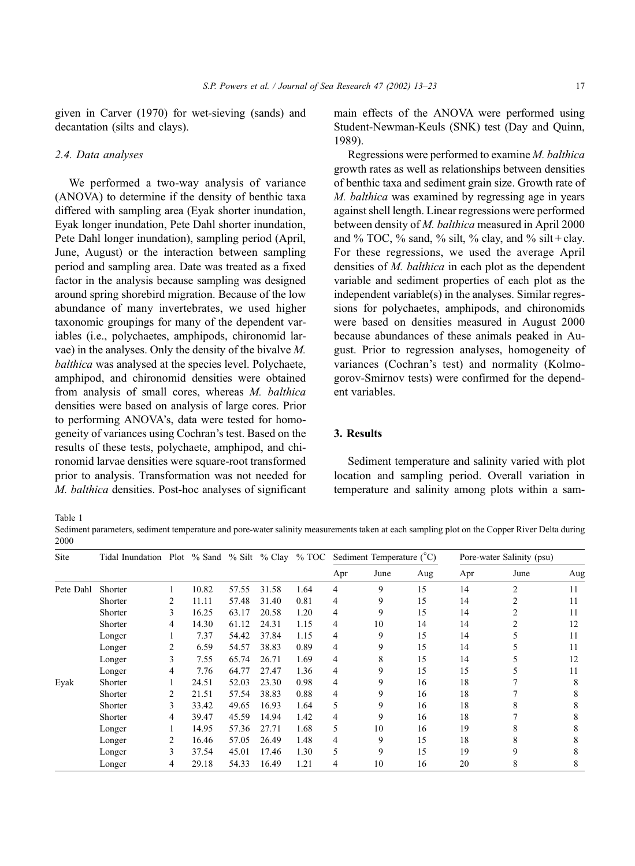given in Carver (1970) for wet-sieving (sands) and decantation (silts and clays).

# 2.4. Data analyses

We performed a two-way analysis of variance (ANOVA) to determine if the density of benthic taxa differed with sampling area (Eyak shorter inundation, Eyak longer inundation, Pete Dahl shorter inundation, Pete Dahl longer inundation), sampling period (April, June, August) or the interaction between sampling period and sampling area. Date was treated as a fixed factor in the analysis because sampling was designed around spring shorebird migration. Because of the low abundance of many invertebrates, we used higher taxonomic groupings for many of the dependent variables (i.e., polychaetes, amphipods, chironomid larvae) in the analyses. Only the density of the bivalve M. balthica was analysed at the species level. Polychaete, amphipod, and chironomid densities were obtained from analysis of small cores, whereas M. balthica densities were based on analysis of large cores. Prior to performing ANOVA's, data were tested for homogeneity of variances using Cochran's test. Based on the results of these tests, polychaete, amphipod, and chironomid larvae densities were square-root transformed prior to analysis. Transformation was not needed for M. balthica densities. Post-hoc analyses of significant main effects of the ANOVA were performed using Student-Newman-Keuls (SNK) test (Day and Quinn, 1989).

Regressions were performed to examine M. balthica growth rates as well as relationships between densities of benthic taxa and sediment grain size. Growth rate of M. balthica was examined by regressing age in years against shell length. Linear regressions were performed between density of M. balthica measured in April 2000 and % TOC, % sand, % silt, % clay, and % silt + clay. For these regressions, we used the average April densities of M. balthica in each plot as the dependent variable and sediment properties of each plot as the independent variable(s) in the analyses. Similar regressions for polychaetes, amphipods, and chironomids were based on densities measured in August 2000 because abundances of these animals peaked in August. Prior to regression analyses, homogeneity of variances (Cochran's test) and normality (Kolmogorov-Smirnov tests) were confirmed for the dependent variables.

## 3. Results

Sediment temperature and salinity varied with plot location and sampling period. Overall variation in temperature and salinity among plots within a sam-

Table 1

Sediment parameters, sediment temperature and pore-water salinity measurements taken at each sampling plot on the Copper River Delta during 2000

| Site      | Tidal Inundation Plot % Sand % Silt |                |       |       | $%$ Clay | $\%$ TOC | Sediment Temperature $({}^{\circ}C)$ |      |     | Pore-water Salinity (psu) |      |     |
|-----------|-------------------------------------|----------------|-------|-------|----------|----------|--------------------------------------|------|-----|---------------------------|------|-----|
|           |                                     |                |       |       |          |          | Apr                                  | June | Aug | Apr                       | June | Aug |
| Pete Dahl | Shorter                             |                | 10.82 | 57.55 | 31.58    | 1.64     | $\overline{4}$                       | 9    | 15  | 14                        | 2    | 11  |
|           | Shorter                             | 2              | 11.11 | 57.48 | 31.40    | 0.81     | $\overline{4}$                       | 9    | 15  | 14                        | 2    | 11  |
|           | Shorter                             | 3              | 16.25 | 63.17 | 20.58    | 1.20     | 4                                    | 9    | 15  | 14                        | 2    | 11  |
|           | Shorter                             | 4              | 14.30 | 61.12 | 24.31    | 1.15     | 4                                    | 10   | 14  | 14                        | 2    | 12  |
|           | Longer                              |                | 7.37  | 54.42 | 37.84    | 1.15     | 4                                    | 9    | 15  | 14                        | 5    | 11  |
|           | Longer                              | 2              | 6.59  | 54.57 | 38.83    | 0.89     | $\overline{4}$                       | 9    | 15  | 14                        | 5    | 11  |
|           | Longer                              | 3              | 7.55  | 65.74 | 26.71    | 1.69     | $\overline{4}$                       | 8    | 15  | 14                        |      | 12  |
|           | Longer                              | 4              | 7.76  | 64.77 | 27.47    | 1.36     | 4                                    | 9    | 15  | 15                        |      | 11  |
| Eyak      | Shorter                             |                | 24.51 | 52.03 | 23.30    | 0.98     | 4                                    | 9    | 16  | 18                        |      | 8   |
|           | Shorter                             | $\overline{2}$ | 21.51 | 57.54 | 38.83    | 0.88     | 4                                    | 9    | 16  | 18                        |      | 8   |
|           | Shorter                             | 3              | 33.42 | 49.65 | 16.93    | 1.64     | 5                                    | 9    | 16  | 18                        | 8    | 8   |
|           | Shorter                             | 4              | 39.47 | 45.59 | 14.94    | 1.42     | 4                                    | 9    | 16  | 18                        |      | 8   |
|           | Longer                              |                | 14.95 | 57.36 | 27.71    | 1.68     | 5                                    | 10   | 16  | 19                        | 8    | 8   |
|           | Longer                              | 2              | 16.46 | 57.05 | 26.49    | 1.48     | 4                                    | 9    | 15  | 18                        | 8    | 8   |
|           | Longer                              | 3              | 37.54 | 45.01 | 17.46    | 1.30     | 5                                    | 9    | 15  | 19                        | 9    | 8   |
|           | Longer                              | 4              | 29.18 | 54.33 | 16.49    | 1.21     | 4                                    | 10   | 16  | 20                        | 8    | 8   |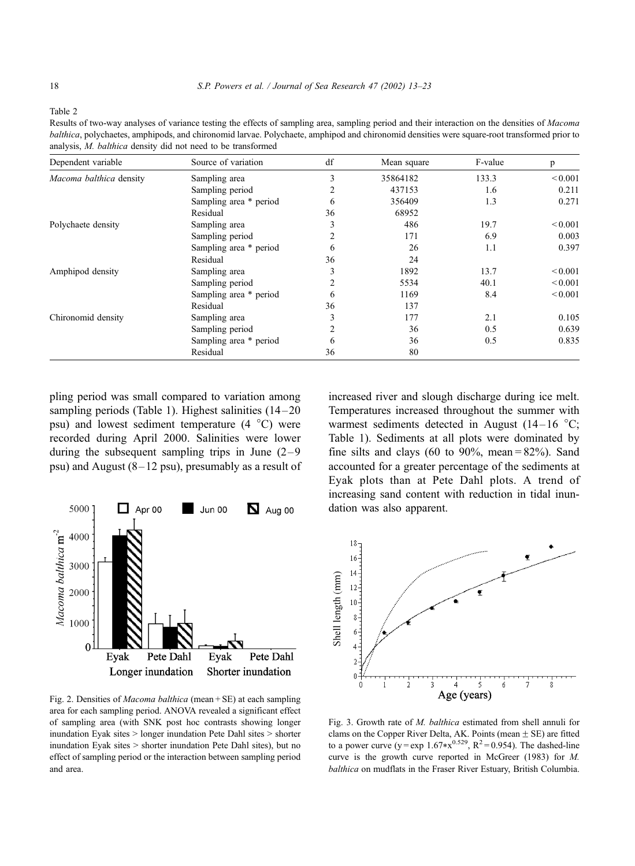Table 2

Results of two-way analyses of variance testing the effects of sampling area, sampling period and their interaction on the densities of Macoma balthica, polychaetes, amphipods, and chironomid larvae. Polychaete, amphipod and chironomid densities were square-root transformed prior to analysis, M. balthica density did not need to be transformed

| Dependent variable      | Source of variation    | df | Mean square | F-value | p            |
|-------------------------|------------------------|----|-------------|---------|--------------|
| Macoma balthica density | Sampling area          | 3  | 35864182    | 133.3   | ${}_{0.001}$ |
|                         | Sampling period        |    | 437153      | 1.6     | 0.211        |
|                         | Sampling area * period | 6  | 356409      | 1.3     | 0.271        |
|                         | Residual               | 36 | 68952       |         |              |
| Polychaete density      | Sampling area          | 3  | 486         | 19.7    | ${}_{0.001}$ |
|                         | Sampling period        |    | 171         | 6.9     | 0.003        |
|                         | Sampling area * period | 6  | 26          | 1.1     | 0.397        |
|                         | Residual               | 36 | 24          |         |              |
| Amphipod density        | Sampling area          | 3  | 1892        | 13.7    | ${}_{0.001}$ |
|                         | Sampling period        | 2  | 5534        | 40.1    | ${}_{0.001}$ |
|                         | Sampling area * period | 6  | 1169        | 8.4     | ${}_{0.001}$ |
|                         | Residual               | 36 | 137         |         |              |
| Chironomid density      | Sampling area          |    | 177         | 2.1     | 0.105        |
|                         | Sampling period        | 2  | 36          | 0.5     | 0.639        |
|                         | Sampling area * period | 6  | 36          | 0.5     | 0.835        |
|                         | Residual               | 36 | 80          |         |              |

pling period was small compared to variation among sampling periods (Table 1). Highest salinities  $(14-20)$ psu) and lowest sediment temperature  $(4 \text{ }^{\circ}C)$  were recorded during April 2000. Salinities were lower during the subsequent sampling trips in June  $(2-9)$ psu) and August  $(8-12 \text{ psu})$ , presumably as a result of



Fig. 2. Densities of Macoma balthica (mean + SE) at each sampling area for each sampling period. ANOVA revealed a significant effect of sampling area (with SNK post hoc contrasts showing longer inundation Eyak sites > longer inundation Pete Dahl sites > shorter inundation Eyak sites > shorter inundation Pete Dahl sites), but no effect of sampling period or the interaction between sampling period and area.

increased river and slough discharge during ice melt. Temperatures increased throughout the summer with warmest sediments detected in August (14–16  $^{\circ}$ C; Table 1). Sediments at all plots were dominated by fine silts and clays (60 to 90%, mean =  $82\%$ ). Sand accounted for a greater percentage of the sediments at Eyak plots than at Pete Dahl plots. A trend of increasing sand content with reduction in tidal inundation was also apparent.



Fig. 3. Growth rate of M. balthica estimated from shell annuli for clams on the Copper River Delta, AK. Points (mean  $\pm$  SE) are fitted to a power curve  $(y = exp 1.67*x^{0.529}, R^2 = 0.954)$ . The dashed-line curve is the growth curve reported in McGreer (1983) for M. balthica on mudflats in the Fraser River Estuary, British Columbia.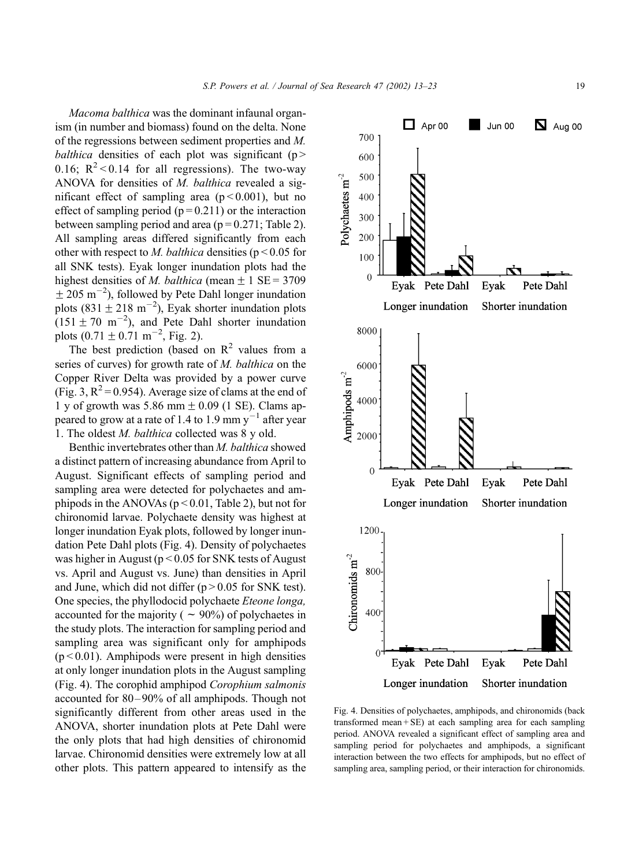Macoma balthica was the dominant infaunal organism (in number and biomass) found on the delta. None of the regressions between sediment properties and M. balthica densities of each plot was significant ( $p$  > 0.16;  $R^2$  < 0.14 for all regressions). The two-way ANOVA for densities of M. balthica revealed a significant effect of sampling area  $(p < 0.001)$ , but no effect of sampling period  $(p = 0.211)$  or the interaction between sampling period and area ( $p = 0.271$ ; Table 2). All sampling areas differed significantly from each other with respect to *M. balthica* densities ( $p < 0.05$  for all SNK tests). Eyak longer inundation plots had the highest densities of *M. balthica* (mean  $\pm$  1 SE = 3709  $\pm$  205 m<sup>-2</sup>), followed by Pete Dahl longer inundation plots  $(831 \pm 218 \text{ m}^{-2})$ , Eyak shorter inundation plots  $(151 \pm 70 \text{ m}^{-2})$ , and Pete Dahl shorter inundation plots  $(0.71 \pm 0.71 \text{ m}^{-2}, \text{Fig. 2}).$ 

The best prediction (based on  $R^2$  values from a series of curves) for growth rate of M. balthica on the Copper River Delta was provided by a power curve (Fig. 3,  $R^2$  = 0.954). Average size of clams at the end of 1 y of growth was 5.86 mm  $\pm$  0.09 (1 SE). Clams appeared to grow at a rate of 1.4 to 1.9 mm  $y^{-1}$  after year 1. The oldest M. balthica collected was 8 y old.

Benthic invertebrates other than M. balthica showed a distinct pattern of increasing abundance from April to August. Significant effects of sampling period and sampling area were detected for polychaetes and amphipods in the ANOVAs ( $p < 0.01$ , Table 2), but not for chironomid larvae. Polychaete density was highest at longer inundation Eyak plots, followed by longer inundation Pete Dahl plots (Fig. 4). Density of polychaetes was higher in August ( $p < 0.05$  for SNK tests of August vs. April and August vs. June) than densities in April and June, which did not differ  $(p > 0.05$  for SNK test). One species, the phyllodocid polychaete Eteone longa, accounted for the majority ( $\sim$  90%) of polychaetes in the study plots. The interaction for sampling period and sampling area was significant only for amphipods  $(p<0.01)$ . Amphipods were present in high densities at only longer inundation plots in the August sampling (Fig. 4). The corophid amphipod Corophium salmonis accounted for 80 –90% of all amphipods. Though not significantly different from other areas used in the ANOVA, shorter inundation plots at Pete Dahl were the only plots that had high densities of chironomid larvae. Chironomid densities were extremely low at all other plots. This pattern appeared to intensify as the



Fig. 4. Densities of polychaetes, amphipods, and chironomids (back transformed mean  $+$  SE) at each sampling area for each sampling period. ANOVA revealed a significant effect of sampling area and sampling period for polychaetes and amphipods, a significant interaction between the two effects for amphipods, but no effect of sampling area, sampling period, or their interaction for chironomids.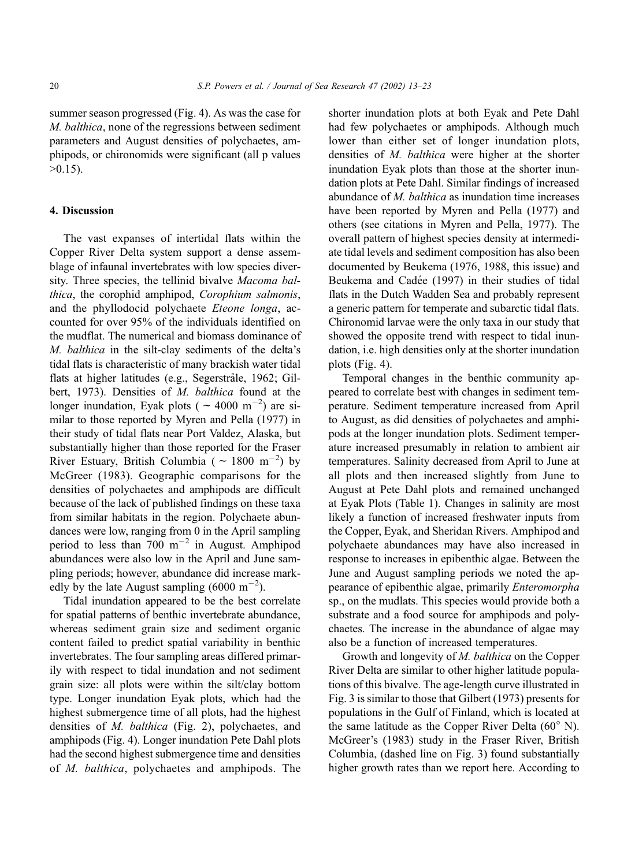summer season progressed (Fig. 4). As was the case for M. balthica, none of the regressions between sediment parameters and August densities of polychaetes, amphipods, or chironomids were significant (all p values  $>0.15$ ).

# 4. Discussion

The vast expanses of intertidal flats within the Copper River Delta system support a dense assemblage of infaunal invertebrates with low species diversity. Three species, the tellinid bivalve Macoma balthica, the corophid amphipod, Corophium salmonis, and the phyllodocid polychaete Eteone longa, accounted for over 95% of the individuals identified on the mudflat. The numerical and biomass dominance of M. balthica in the silt-clay sediments of the delta's tidal flats is characteristic of many brackish water tidal flats at higher latitudes (e.g., Segerstråle, 1962; Gilbert, 1973). Densities of M. balthica found at the longer inundation, Eyak plots ( $\sim 4000 \text{ m}^{-2}$ ) are similar to those reported by Myren and Pella (1977) in their study of tidal flats near Port Valdez, Alaska, but substantially higher than those reported for the Fraser River Estuary, British Columbia ( $\sim 1800 \text{ m}^{-2}$ ) by McGreer (1983). Geographic comparisons for the densities of polychaetes and amphipods are difficult because of the lack of published findings on these taxa from similar habitats in the region. Polychaete abundances were low, ranging from 0 in the April sampling period to less than 700  $\mathrm{m}^{-2}$  in August. Amphipod abundances were also low in the April and June sampling periods; however, abundance did increase markedly by the late August sampling  $(6000 \text{ m}^{-2})$ .

Tidal inundation appeared to be the best correlate for spatial patterns of benthic invertebrate abundance, whereas sediment grain size and sediment organic content failed to predict spatial variability in benthic invertebrates. The four sampling areas differed primarily with respect to tidal inundation and not sediment grain size: all plots were within the silt/clay bottom type. Longer inundation Eyak plots, which had the highest submergence time of all plots, had the highest densities of M. balthica (Fig. 2), polychaetes, and amphipods (Fig. 4). Longer inundation Pete Dahl plots had the second highest submergence time and densities of M. balthica, polychaetes and amphipods. The

shorter inundation plots at both Eyak and Pete Dahl had few polychaetes or amphipods. Although much lower than either set of longer inundation plots, densities of M. balthica were higher at the shorter inundation Eyak plots than those at the shorter inundation plots at Pete Dahl. Similar findings of increased abundance of M. balthica as inundation time increases have been reported by Myren and Pella (1977) and others (see citations in Myren and Pella, 1977). The overall pattern of highest species density at intermediate tidal levels and sediment composition has also been documented by Beukema (1976, 1988, this issue) and Beukema and Cadée (1997) in their studies of tidal flats in the Dutch Wadden Sea and probably represent a generic pattern for temperate and subarctic tidal flats. Chironomid larvae were the only taxa in our study that showed the opposite trend with respect to tidal inundation, i.e. high densities only at the shorter inundation plots (Fig. 4).

Temporal changes in the benthic community appeared to correlate best with changes in sediment temperature. Sediment temperature increased from April to August, as did densities of polychaetes and amphipods at the longer inundation plots. Sediment temperature increased presumably in relation to ambient air temperatures. Salinity decreased from April to June at all plots and then increased slightly from June to August at Pete Dahl plots and remained unchanged at Eyak Plots (Table 1). Changes in salinity are most likely a function of increased freshwater inputs from the Copper, Eyak, and Sheridan Rivers. Amphipod and polychaete abundances may have also increased in response to increases in epibenthic algae. Between the June and August sampling periods we noted the appearance of epibenthic algae, primarily Enteromorpha sp., on the mudlats. This species would provide both a substrate and a food source for amphipods and polychaetes. The increase in the abundance of algae may also be a function of increased temperatures.

Growth and longevity of M. balthica on the Copper River Delta are similar to other higher latitude populations of this bivalve. The age-length curve illustrated in Fig. 3 is similar to those that Gilbert (1973) presents for populations in the Gulf of Finland, which is located at the same latitude as the Copper River Delta  $(60^{\circ}$  N). McGreer's (1983) study in the Fraser River, British Columbia, (dashed line on Fig. 3) found substantially higher growth rates than we report here. According to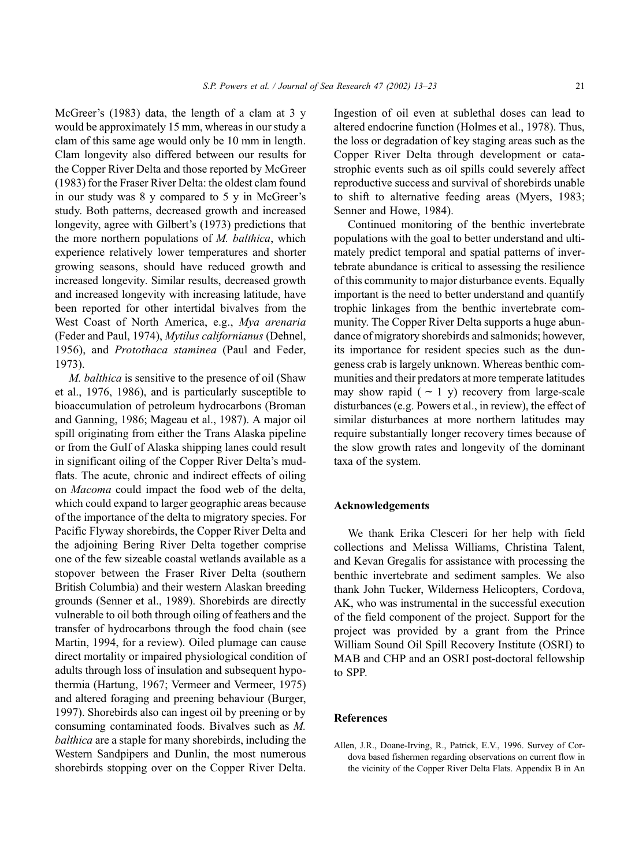McGreer's (1983) data, the length of a clam at 3 y would be approximately 15 mm, whereas in our study a clam of this same age would only be 10 mm in length. Clam longevity also differed between our results for the Copper River Delta and those reported by McGreer (1983) for the Fraser River Delta: the oldest clam found in our study was 8 y compared to 5 y in McGreer's study. Both patterns, decreased growth and increased longevity, agree with Gilbert's (1973) predictions that the more northern populations of  $M$ . balthica, which experience relatively lower temperatures and shorter growing seasons, should have reduced growth and increased longevity. Similar results, decreased growth and increased longevity with increasing latitude, have been reported for other intertidal bivalves from the West Coast of North America, e.g., Mya arenaria (Feder and Paul, 1974), Mytilus californianus (Dehnel, 1956), and Protothaca staminea (Paul and Feder, 1973).

M. balthica is sensitive to the presence of oil (Shaw et al., 1976, 1986), and is particularly susceptible to bioaccumulation of petroleum hydrocarbons (Broman and Ganning, 1986; Mageau et al., 1987). A major oil spill originating from either the Trans Alaska pipeline or from the Gulf of Alaska shipping lanes could result in significant oiling of the Copper River Delta's mudflats. The acute, chronic and indirect effects of oiling on Macoma could impact the food web of the delta, which could expand to larger geographic areas because of the importance of the delta to migratory species. For Pacific Flyway shorebirds, the Copper River Delta and the adjoining Bering River Delta together comprise one of the few sizeable coastal wetlands available as a stopover between the Fraser River Delta (southern British Columbia) and their western Alaskan breeding grounds (Senner et al., 1989). Shorebirds are directly vulnerable to oil both through oiling of feathers and the transfer of hydrocarbons through the food chain (see Martin, 1994, for a review). Oiled plumage can cause direct mortality or impaired physiological condition of adults through loss of insulation and subsequent hypothermia (Hartung, 1967; Vermeer and Vermeer, 1975) and altered foraging and preening behaviour (Burger, 1997). Shorebirds also can ingest oil by preening or by consuming contaminated foods. Bivalves such as M. balthica are a staple for many shorebirds, including the Western Sandpipers and Dunlin, the most numerous shorebirds stopping over on the Copper River Delta.

Ingestion of oil even at sublethal doses can lead to altered endocrine function (Holmes et al., 1978). Thus, the loss or degradation of key staging areas such as the Copper River Delta through development or catastrophic events such as oil spills could severely affect reproductive success and survival of shorebirds unable to shift to alternative feeding areas (Myers, 1983; Senner and Howe, 1984).

Continued monitoring of the benthic invertebrate populations with the goal to better understand and ultimately predict temporal and spatial patterns of invertebrate abundance is critical to assessing the resilience of this community to major disturbance events. Equally important is the need to better understand and quantify trophic linkages from the benthic invertebrate community. The Copper River Delta supports a huge abundance of migratory shorebirds and salmonids; however, its importance for resident species such as the dungeness crab is largely unknown. Whereas benthic communities and their predators at more temperate latitudes may show rapid ( $\sim 1$  y) recovery from large-scale disturbances (e.g. Powers et al., in review), the effect of similar disturbances at more northern latitudes may require substantially longer recovery times because of the slow growth rates and longevity of the dominant taxa of the system.

# Acknowledgements

We thank Erika Clesceri for her help with field collections and Melissa Williams, Christina Talent, and Kevan Gregalis for assistance with processing the benthic invertebrate and sediment samples. We also thank John Tucker, Wilderness Helicopters, Cordova, AK, who was instrumental in the successful execution of the field component of the project. Support for the project was provided by a grant from the Prince William Sound Oil Spill Recovery Institute (OSRI) to MAB and CHP and an OSRI post-doctoral fellowship to SPP.

#### References

Allen, J.R., Doane-Irving, R., Patrick, E.V., 1996. Survey of Cordova based fishermen regarding observations on current flow in the vicinity of the Copper River Delta Flats. Appendix B in An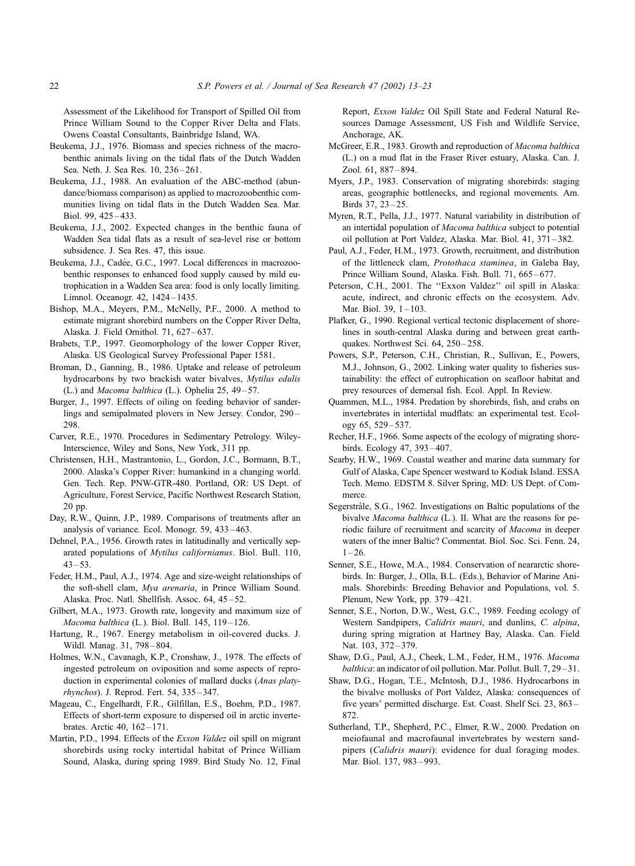Assessment of the Likelihood for Transport of Spilled Oil from Prince William Sound to the Copper River Delta and Flats. Owens Coastal Consultants, Bainbridge Island, WA.

- Beukema, J.J., 1976. Biomass and species richness of the macrobenthic animals living on the tidal flats of the Dutch Wadden Sea. Neth. J. Sea Res. 10, 236-261.
- Beukema, J.J., 1988. An evaluation of the ABC-method (abundance/biomass comparison) as applied to macrozoobenthic communities living on tidal flats in the Dutch Wadden Sea. Mar. Biol. 99, 425 – 433.
- Beukema, J.J., 2002. Expected changes in the benthic fauna of Wadden Sea tidal flats as a result of sea-level rise or bottom subsidence. J. Sea Res. 47, this issue.
- Beukema, J.J., Cadée, G.C., 1997. Local differences in macrozoobenthic responses to enhanced food supply caused by mild eutrophication in a Wadden Sea area: food is only locally limiting. Limnol. Oceanogr. 42, 1424 – 1435.
- Bishop, M.A., Meyers, P.M., McNelly, P.F., 2000. A method to estimate migrant shorebird numbers on the Copper River Delta, Alaska. J. Field Ornithol. 71, 627 – 637.
- Brabets, T.P., 1997. Geomorphology of the lower Copper River, Alaska. US Geological Survey Professional Paper 1581.
- Broman, D., Ganning, B., 1986. Uptake and release of petroleum hydrocarbons by two brackish water bivalves, Mytilus edulis (L.) and *Macoma balthica* (L.). Ophelia  $25$ ,  $49-57$ .
- Burger, J., 1997. Effects of oiling on feeding behavior of sanderlings and semipalmated plovers in New Jersey. Condor, 290 – 298.
- Carver, R.E., 1970. Procedures in Sedimentary Petrology. Wiley-Interscience, Wiley and Sons, New York, 311 pp.
- Christensen, H.H., Mastrantonio, L., Gordon, J.C., Bormann, B.T., 2000. Alaska's Copper River: humankind in a changing world. Gen. Tech. Rep. PNW-GTR-480. Portland, OR: US Dept. of Agriculture, Forest Service, Pacific Northwest Research Station, 20 pp.
- Day, R.W., Quinn, J.P., 1989. Comparisons of treatments after an analysis of variance. Ecol. Monogr. 59, 433 – 463.
- Dehnel, P.A., 1956. Growth rates in latitudinally and vertically separated populations of Mytilus californianus. Biol. Bull. 110,  $43 - 53$ .
- Feder, H.M., Paul, A.J., 1974. Age and size-weight relationships of the soft-shell clam, Mya arenaria, in Prince William Sound. Alaska. Proc. Natl. Shellfish. Assoc. 64, 45 – 52.
- Gilbert, M.A., 1973. Growth rate, longevity and maximum size of Macoma balthica (L.). Biol. Bull. 145, 119-126.
- Hartung, R., 1967. Energy metabolism in oil-covered ducks. J. Wildl. Manag. 31, 798-804.
- Holmes, W.N., Cavanagh, K.P., Cronshaw, J., 1978. The effects of ingested petroleum on oviposition and some aspects of reproduction in experimental colonies of mallard ducks (Anas platyrhynchos). J. Reprod. Fert. 54, 335 – 347.
- Mageau, C., Engelhardt, F.R., Gilfillan, E.S., Boehm, P.D., 1987. Effects of short-term exposure to dispersed oil in arctic invertebrates. Arctic 40, 162 – 171.
- Martin, P.D., 1994. Effects of the Exxon Valdez oil spill on migrant shorebirds using rocky intertidal habitat of Prince William Sound, Alaska, during spring 1989. Bird Study No. 12, Final

Report, Exxon Valdez Oil Spill State and Federal Natural Resources Damage Assessment, US Fish and Wildlife Service, Anchorage, AK.

- McGreer, E.R., 1983. Growth and reproduction of Macoma balthica (L.) on a mud flat in the Fraser River estuary, Alaska. Can. J. Zool. 61, 887-894.
- Myers, J.P., 1983. Conservation of migrating shorebirds: staging areas, geographic bottlenecks, and regional movements. Am. Birds 37, 23 – 25.
- Myren, R.T., Pella, J.J., 1977. Natural variability in distribution of an intertidal population of Macoma balthica subject to potential oil pollution at Port Valdez, Alaska. Mar. Biol. 41, 371 – 382.
- Paul, A.J., Feder, H.M., 1973. Growth, recruitment, and distribution of the littleneck clam, Protothaca staminea, in Galeba Bay, Prince William Sound, Alaska. Fish. Bull. 71, 665-677.
- Peterson, C.H., 2001. The ''Exxon Valdez'' oil spill in Alaska: acute, indirect, and chronic effects on the ecosystem. Adv. Mar. Biol. 39, 1-103.
- Plafker, G., 1990. Regional vertical tectonic displacement of shorelines in south-central Alaska during and between great earthquakes. Northwest Sci. 64, 250-258.
- Powers, S.P., Peterson, C.H., Christian, R., Sullivan, E., Powers, M.J., Johnson, G., 2002. Linking water quality to fisheries sustainability: the effect of eutrophication on seafloor habitat and prey resources of demersal fish. Ecol. Appl. In Review.
- Quammen, M.L., 1984. Predation by shorebirds, fish, and crabs on invertebrates in intertidal mudflats: an experimental test. Ecology 65, 529 – 537.
- Recher, H.F., 1966. Some aspects of the ecology of migrating shorebirds. Ecology 47, 393-407.
- Searby, H.W., 1969. Coastal weather and marine data summary for Gulf of Alaska, Cape Spencer westward to Kodiak Island. ESSA Tech. Memo. EDSTM 8. Silver Spring, MD: US Dept. of Commerce.
- Segerstråle, S.G., 1962. Investigations on Baltic populations of the bivalve Macoma balthica (L.). II. What are the reasons for periodic failure of recruitment and scarcity of Macoma in deeper waters of the inner Baltic? Commentat. Biol. Soc. Sci. Fenn. 24,  $1 - 26$
- Senner, S.E., Howe, M.A., 1984. Conservation of neararctic shorebirds. In: Burger, J., Olla, B.L. (Eds.), Behavior of Marine Animals. Shorebirds: Breeding Behavior and Populations, vol. 5. Plenum, New York, pp. 379–421.
- Senner, S.E., Norton, D.W., West, G.C., 1989. Feeding ecology of Western Sandpipers, Calidris mauri, and dunlins, C. alpina, during spring migration at Hartney Bay, Alaska. Can. Field Nat. 103, 372-379.
- Shaw, D.G., Paul, A.J., Cheek, L.M., Feder, H.M., 1976. Macoma balthica: an indicator of oil pollution. Mar. Pollut. Bull. 7, 29 – 31.
- Shaw, D.G., Hogan, T.E., McIntosh, D.J., 1986. Hydrocarbons in the bivalve mollusks of Port Valdez, Alaska: consequences of five years' permitted discharge. Est. Coast. Shelf Sci. 23, 863 – 872.
- Sutherland, T.P., Shepherd, P.C., Elmer, R.W., 2000. Predation on meiofaunal and macrofaunal invertebrates by western sandpipers (Calidris mauri): evidence for dual foraging modes. Mar. Biol. 137, 983 – 993.